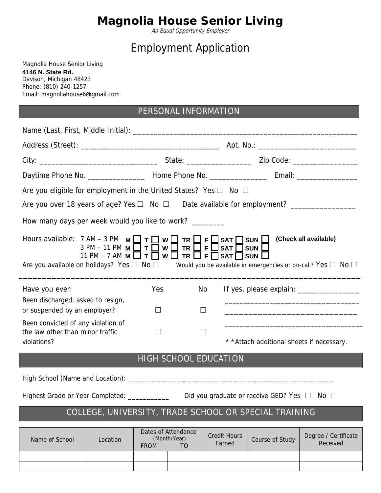# **Magnolia House Senior Living**

An Equal Opportunity Employer

## Employment Application

Magnolia House Senior Living 4146 N. State Rd. Davison, Michigan 48423 Phone: (810) 240-1257 Email: magnoliahouse6@gmail.com

## PERSONAL INFORMATION

| Are you eligible for employment in the United States? Yes $\square$ No $\square$                                                                                                                                |                                                                                                                                                       |             |                                                       |                               |                                                       |                                                                                                                        |
|-----------------------------------------------------------------------------------------------------------------------------------------------------------------------------------------------------------------|-------------------------------------------------------------------------------------------------------------------------------------------------------|-------------|-------------------------------------------------------|-------------------------------|-------------------------------------------------------|------------------------------------------------------------------------------------------------------------------------|
| Are you over 18 years of age? Yes □ No □ Date available for employment? _______________                                                                                                                         |                                                                                                                                                       |             |                                                       |                               |                                                       |                                                                                                                        |
| How many days per week would you like to work? ________                                                                                                                                                         |                                                                                                                                                       |             |                                                       |                               |                                                       |                                                                                                                        |
| Hours available: $7 AM - 3 PM$ M $\Box T \Box W \Box TR \Box F \Box SAT \Box Sun$<br>Are you available on holidays? Yes $\Box$ No $\Box$ Would you be available in emergencies or on-call? Yes $\Box$ No $\Box$ | 3 PM – 11 PM $M \square T \square W \square TR \square F \square$<br>11 PM – 7 AM M $\Box$ T $\Box$ W $\Box$ TR $\Box$ F $\Box$ SAT $\Box$ SUN $\Box$ |             |                                                       | <b>SAT</b>                    | <b>SUN</b> L                                          | (Check all available)                                                                                                  |
| Have you ever:                                                                                                                                                                                                  |                                                                                                                                                       | Yes         |                                                       | No.                           |                                                       |                                                                                                                        |
| Been discharged, asked to resign,<br>or suspended by an employer?                                                                                                                                               |                                                                                                                                                       | $\Box$      |                                                       | $\Box$                        |                                                       | <u> 1989 - Johann John Stoff, deutscher Stoffen und der Stoffen und der Stoffen und der Stoffen und der Stoffen un</u> |
| Been convicted of any violation of<br>the law other than minor traffic<br>violations?                                                                                                                           |                                                                                                                                                       | $\Box$      |                                                       | $\Box$                        | * * Attach additional sheets if necessary.            |                                                                                                                        |
|                                                                                                                                                                                                                 |                                                                                                                                                       |             |                                                       | <b>HIGH SCHOOL EDUCATION</b>  |                                                       |                                                                                                                        |
|                                                                                                                                                                                                                 |                                                                                                                                                       |             |                                                       |                               |                                                       |                                                                                                                        |
| Highest Grade or Year Completed: ____________                                                                                                                                                                   |                                                                                                                                                       |             |                                                       |                               | Did you graduate or receive GED? Yes $\Box$ No $\Box$ |                                                                                                                        |
|                                                                                                                                                                                                                 |                                                                                                                                                       |             |                                                       |                               | COLLEGE, UNIVERSITY, TRADE SCHOOL OR SPECIAL TRAINING |                                                                                                                        |
| Name of School                                                                                                                                                                                                  | Location                                                                                                                                              | <b>FROM</b> | Dates of Attendance<br>(Month/Year)<br>T <sub>O</sub> | <b>Credit Hours</b><br>Earned | Course of Study                                       | Degree / Certificate<br>Received                                                                                       |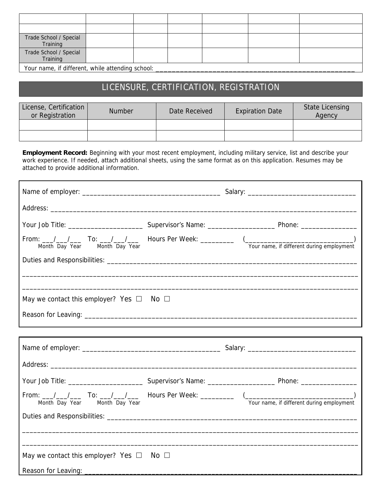| Trade School / Special<br>Training               |  |  |  |
|--------------------------------------------------|--|--|--|
| Trade School / Special<br>Training               |  |  |  |
| Your name, if different, while attending school: |  |  |  |

Your name, if different, while attending school:

### LICENSURE, CERTIFICATION, REGISTRATION

| License, Certification<br>or Registration | <b>Number</b> | Date Received | <b>Expiration Date</b> | <b>State Licensing</b><br>Agency |
|-------------------------------------------|---------------|---------------|------------------------|----------------------------------|
|                                           |               |               |                        |                                  |
|                                           |               |               |                        |                                  |

**Employment Record:** Beginning with your most recent employment, including military service, list and describe your work experience. If needed, attach additional sheets, using the same format as on this application. Resumes may be attached to provide additional information.

٦

| May we contact this employer? Yes $\Box$ No $\Box$ |              |                                                                                                                                |
|----------------------------------------------------|--------------|--------------------------------------------------------------------------------------------------------------------------------|
|                                                    |              |                                                                                                                                |
|                                                    |              |                                                                                                                                |
|                                                    |              |                                                                                                                                |
|                                                    |              |                                                                                                                                |
| Month Day Year Month Day Year                      |              | From: __/__/___ To: __/__/___ Hours Per Week: _________ (________________________<br>Your name, if different during employment |
|                                                    |              |                                                                                                                                |
|                                                    |              |                                                                                                                                |
| May we contact this employer? Yes $\Box$           | No $\square$ |                                                                                                                                |
| Reason for Leaving: ______                         |              |                                                                                                                                |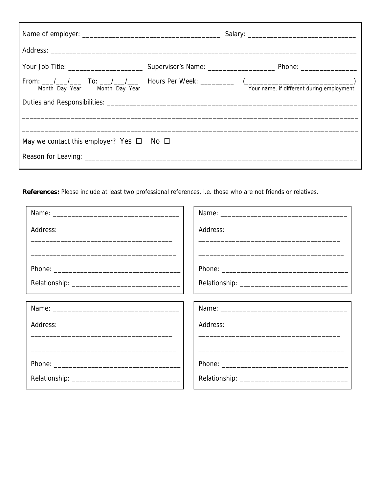| Month Day Year Month Day Year                      | From: __/__/___ To: __/__/___ Hours Per Week: _________ (_______________________<br>Your name, if different during employment |
|----------------------------------------------------|-------------------------------------------------------------------------------------------------------------------------------|
|                                                    |                                                                                                                               |
|                                                    |                                                                                                                               |
| May we contact this employer? Yes $\Box$ No $\Box$ |                                                                                                                               |
|                                                    |                                                                                                                               |

References: Please include at least two professional references, i.e. those who are not friends or relatives.

| Address:                                                                                                       | Address: |
|----------------------------------------------------------------------------------------------------------------|----------|
|                                                                                                                |          |
|                                                                                                                |          |
|                                                                                                                |          |
|                                                                                                                |          |
| Name: 2008 2009 2010 2020 2021 2022 2023 2024 2022 2022 2023 2024 2022 2023 2024 2022 2023 2024 2022 2023 2024 |          |
| Address:                                                                                                       | Address: |
|                                                                                                                |          |
|                                                                                                                |          |
|                                                                                                                |          |
|                                                                                                                |          |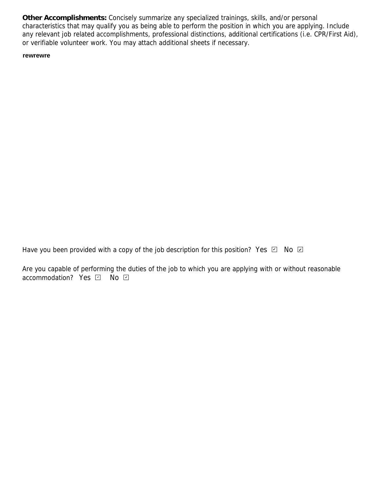**Other Accomplishments:** Concisely summarize any specialized trainings, skills, and/or personal characteristics that may qualify you as being able to perform the position in which you are applying. Include any relevant job related accomplishments, professional distinctions, additional certifications (i.e. CPR/First Aid), or verifiable volunteer work. You may attach additional sheets if necessary.

#### $\blacksquare$ **rewrewre**

Have you been provided with a copy of the job description for this position? Yes  $\Box$  No  $\Box$ 

Are you capable of performing the duties of the job to which you are applying with or without reasonable accommodation? Yes *덴* No *민*